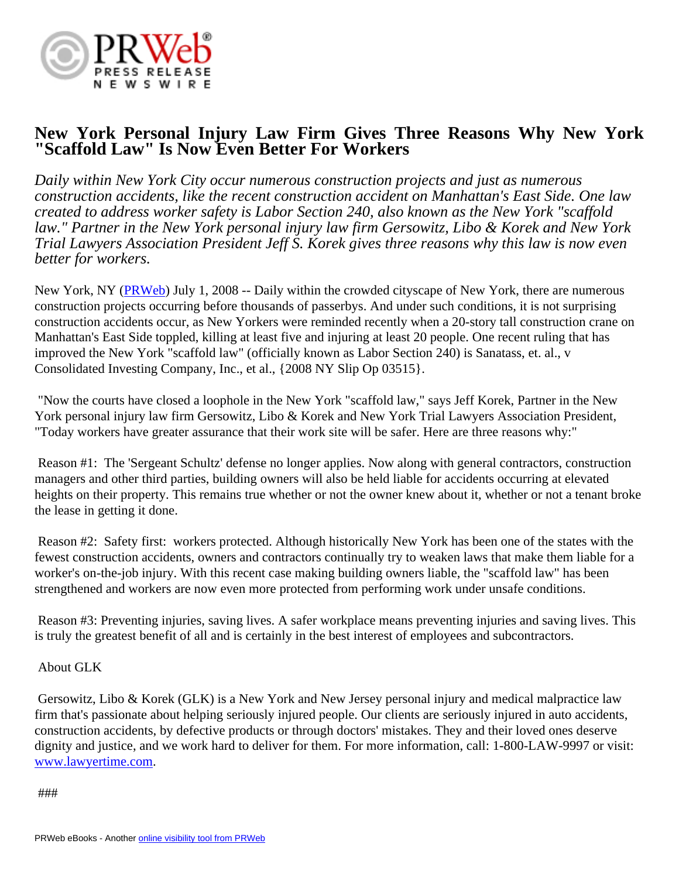

## **New York Personal Injury Law Firm Gives Three Reasons Why New York "Scaffold Law" Is Now Even Better For Workers**

*Daily within New York City occur numerous construction projects and just as numerous construction accidents, like the recent construction accident on Manhattan's East Side. One law created to address worker safety is Labor Section 240, also known as the New York "scaffold law." Partner in the New York personal injury law firm Gersowitz, Libo & Korek and New York Trial Lawyers Association President Jeff S. Korek gives three reasons why this law is now even better for workers.*

New York, NY ([PRWeb](http://www.prweb.com)) July 1, 2008 -- Daily within the crowded cityscape of New York, there are numerous construction projects occurring before thousands of passerbys. And under such conditions, it is not surprising construction accidents occur, as New Yorkers were reminded recently when a 20-story tall construction crane on Manhattan's East Side toppled, killing at least five and injuring at least 20 people. One recent ruling that has improved the New York "scaffold law" (officially known as Labor Section 240) is Sanatass, et. al., v Consolidated Investing Company, Inc., et al., {2008 NY Slip Op 03515}.

 "Now the courts have closed a loophole in the New York "scaffold law," says Jeff Korek, Partner in the New York personal injury law firm Gersowitz, Libo & Korek and New York Trial Lawyers Association President, "Today workers have greater assurance that their work site will be safer. Here are three reasons why:"

 Reason #1: The 'Sergeant Schultz' defense no longer applies. Now along with general contractors, construction managers and other third parties, building owners will also be held liable for accidents occurring at elevated heights on their property. This remains true whether or not the owner knew about it, whether or not a tenant broke the lease in getting it done.

 Reason #2: Safety first: workers protected. Although historically New York has been one of the states with the fewest construction accidents, owners and contractors continually try to weaken laws that make them liable for a worker's on-the-job injury. With this recent case making building owners liable, the "scaffold law" has been strengthened and workers are now even more protected from performing work under unsafe conditions.

 Reason #3: Preventing injuries, saving lives. A safer workplace means preventing injuries and saving lives. This is truly the greatest benefit of all and is certainly in the best interest of employees and subcontractors.

## About GLK

 Gersowitz, Libo & Korek (GLK) is a New York and New Jersey personal injury and medical malpractice law firm that's passionate about helping seriously injured people. Our clients are seriously injured in auto accidents, construction accidents, by defective products or through doctors' mistakes. They and their loved ones deserve dignity and justice, and we work hard to deliver for them. For more information, call: 1-800-LAW-9997 or visit: [www.lawyertime.com.](http://www.lawyertime.com)

###